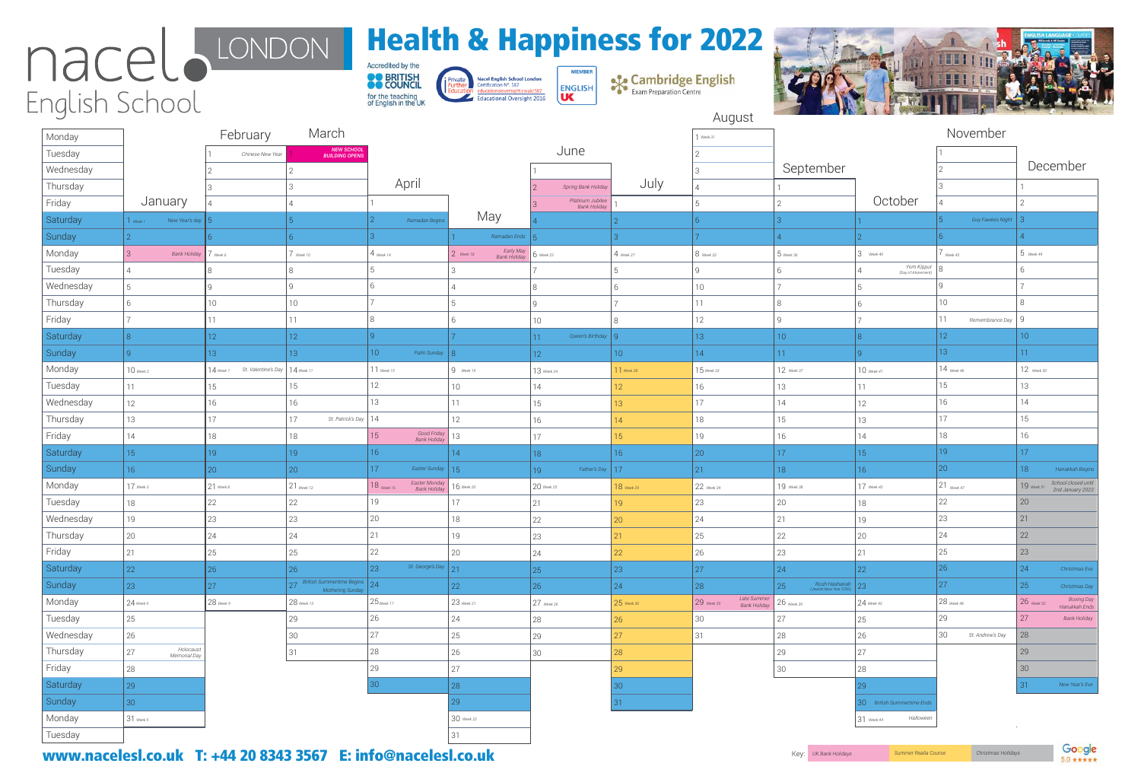| Monday    |                                                               | February                                          | March                                                       |                                             |                                                  |                                         |                 | $\sqrt{ }$ Week 31          |                                                    |                                  | November                |                                                         |
|-----------|---------------------------------------------------------------|---------------------------------------------------|-------------------------------------------------------------|---------------------------------------------|--------------------------------------------------|-----------------------------------------|-----------------|-----------------------------|----------------------------------------------------|----------------------------------|-------------------------|---------------------------------------------------------|
| Tuesday   |                                                               | Chinese New Year                                  | <b>NEW SCHOOL</b><br><b>BUILDING OPENS</b>                  |                                             |                                                  | June                                    |                 |                             |                                                    |                                  |                         |                                                         |
| Wednesday |                                                               |                                                   |                                                             |                                             |                                                  |                                         |                 |                             | September                                          |                                  |                         | December                                                |
| Thursday  |                                                               |                                                   |                                                             | April                                       |                                                  | Spring Bank Holiday                     | July            |                             |                                                    |                                  |                         |                                                         |
| Friday    | January                                                       |                                                   |                                                             |                                             |                                                  | Platinum Jubilee<br><b>Bank Holiday</b> |                 |                             |                                                    | October                          |                         |                                                         |
| Saturday  | New Year's day $\vert 5 \vert$<br>$\sqrt{\frac{1}{1}}$ Week 1 |                                                   |                                                             | Ramadan Begins                              | May                                              |                                         |                 |                             |                                                    |                                  | Guy Fawkes Night 3      |                                                         |
| Sunday    |                                                               |                                                   |                                                             |                                             | Ramadan Ends $\overline{5}$                      |                                         |                 |                             |                                                    |                                  |                         |                                                         |
| Monday    |                                                               | Bank Holiday 7 Week 6                             | $\sqrt{$ Week 10                                            | $\vert$ 4 <sub>Week 14</sub>                | Early May<br>  Bank Holiday<br>$\vert$ 2 Week 18 | $6$ Week 23                             | $4$ Week 27     | $8$ Week 32                 | $5$ Week 36                                        | Week 40                          | $\int$ Week 45          | $5$ Week 49                                             |
| Tuesday   |                                                               |                                                   |                                                             |                                             |                                                  |                                         |                 | 9                           | 6                                                  | Yom Kippur<br>(Day of Atonement) |                         |                                                         |
| Wednesday |                                                               |                                                   |                                                             |                                             |                                                  | 8                                       |                 | 10                          |                                                    |                                  |                         |                                                         |
| Thursday  |                                                               | 10                                                | 10                                                          |                                             |                                                  |                                         |                 | 11                          | 8                                                  |                                  | 10                      | 8                                                       |
| Friday    |                                                               | 11                                                | 11                                                          |                                             |                                                  | 10 <sup>°</sup>                         |                 | 12                          |                                                    |                                  | 11<br>Remembrance Day 9 |                                                         |
| Saturday  |                                                               | 12 <sup>°</sup>                                   | 12 <sup>2</sup>                                             |                                             |                                                  | Queen's Birthday   Q<br>11              |                 | 13 <sup>°</sup>             | 10 <sup>°</sup>                                    |                                  | 12 <sup>°</sup>         | 10 <sup>°</sup>                                         |
| Sunday    |                                                               | 13 <sup>°</sup>                                   | 13 <sup>°</sup>                                             | 10 <sup>°</sup><br>Palm Sunday 8            |                                                  | 12                                      | 10 <sup>°</sup> | 14                          | 11                                                 |                                  | 13 <sup>°</sup>         | 11 <sub>1</sub>                                         |
| Monday    | $10$ Week 2                                                   | St. Valentine's Day   $14$ week 11<br>$14$ Week 7 |                                                             | $11$ Week 15                                | $\vert 9 \vert$ Week 19                          | 13 Week 24                              | $11$ Week 28    | $15$ Week 33                | 12 Week 37                                         | $10$ Week 41                     | $14$ Week 46            | 12 Week 50                                              |
| Tuesday   | 11                                                            | 15                                                | 15                                                          | 12                                          | 10 <sup>°</sup>                                  | 14                                      | $ 2\rangle$     | 16                          | 13                                                 | 11                               | 15                      | 13                                                      |
| Wednesday | 12                                                            | 16                                                | 16                                                          | 13                                          | 11                                               | 15                                      | 13              | 17                          | 14                                                 | 12                               | 16                      | 14                                                      |
| Thursday  | 13                                                            | 17                                                | St. Patrick's Day $\mid$ $\mid$ $\mid$ $\mid$ $\mid$<br> 17 |                                             | 12                                               | 16                                      | $ 4\rangle$     | 18                          | 15                                                 | 13                               | 17                      | 15                                                      |
| Friday    | 14                                                            | 18                                                | 18                                                          | Good Friday 13<br>15                        |                                                  | 17                                      | 15              | 19                          | 16                                                 | 14                               | 18                      | 16                                                      |
| Saturday  | 15 <sup>°</sup>                                               | 19                                                | 19 <sup>°</sup>                                             | 16                                          | 14                                               | 18                                      | 16 <sup>°</sup> | 20                          | 17 <sup>°</sup>                                    | 15 <sup>°</sup>                  | 19 <sup>°</sup>         | 17 <sup>°</sup>                                         |
| Sunday    | 16 <sup>°</sup>                                               | 20                                                | 20                                                          | 17 <sup>°</sup><br>Easter Sunday 15         |                                                  | Father's Day $ 17$<br>19                |                 | 21                          | 18                                                 | 16 <sup>°</sup>                  | 20                      | 18<br>Hanukkah Begins                                   |
| Monday    | $17$ Week 3                                                   | $21$ Week 8                                       | 21 Week 12                                                  | Easter Monday<br>Bank Holiday<br>18 Week 16 | 16 Week 20                                       | $20$ Week 25                            | 18 Week 29      | 22 Week 34                  | 19 Week 38                                         | 17 Week 42                       | $21$ Week 47            | School closed until<br>$19$ Week 51<br>2nd January 2023 |
| Tuesday   | 18                                                            | 22                                                | 22                                                          | 19                                          | 17                                               | 21                                      | 19              | 23                          | 20                                                 | 18                               | 22                      | 20                                                      |
| Wednesday | 19                                                            | 23                                                | 23                                                          | 20                                          | 18                                               | 22                                      | 20 <sup>°</sup> | 24                          | 21                                                 | 19                               | 23                      | 21                                                      |
| Thursday  | 20                                                            | 24                                                | 24                                                          |                                             | 19                                               | 23                                      | 21 <sup>2</sup> | 25                          | 22                                                 | 20                               | 24                      | 22                                                      |
| Friday    | 21                                                            | 25                                                | 25                                                          | 22                                          | 20                                               | 24                                      | 22 <sub>1</sub> | 26                          | 23                                                 | 21                               | 25                      | 23                                                      |
| Saturday  | 22                                                            | 26                                                | 26                                                          | St. George's Day 21<br>23                   |                                                  | 25                                      | 23              | 27                          | 24                                                 | 22                               | 26                      | 24<br>Christmas Eve                                     |
| Sunday    | 23                                                            | 27                                                | British Summertime Begins 24<br>Mothering Sunday            |                                             | 22                                               | 26                                      | 24              | 28                          | Rosh Hashanah $\frac{Rosh \text{ Hash}}{23}$<br>25 |                                  | 27                      | 25<br>Christmas Day                                     |
| Monday    | $24$ Week 4                                                   | $28$ Week 9                                       | 28 Week 13                                                  | $25$ Week 17                                | $23$ Week 21                                     | $27$ Week 26                            | $25$ Week 30    | Late Summer<br>$29$ Week 35 | $26$ Week 39                                       | 24 Week 43                       | $28$ Week 48            | <b>Boxing Day</b><br>$26$ Week 52<br>Hanukkah Ends      |
| Tuesday   | 25                                                            |                                                   | 29                                                          | 26                                          | 24                                               | 28                                      | 26              | 30                          | 27                                                 | 25                               | 29                      | 27<br><b>Bank Holiday</b>                               |
| Wednesday | 26                                                            |                                                   | 30                                                          | 27                                          | 25                                               | 29                                      | 27              | 31                          | 28                                                 | 26                               | 30<br>St. Andrew's Day  | 28                                                      |
| Thursday  | Holocaust<br>27<br>Memorial Day                               |                                                   | 31                                                          | 28                                          | 26                                               | 30                                      | 28              |                             | 29                                                 | 27                               |                         | 29                                                      |
| Friday    | 28                                                            |                                                   |                                                             | 29                                          | 27                                               |                                         | 29              |                             | 30                                                 | 28                               |                         | 30                                                      |
| Saturday  | 29                                                            |                                                   |                                                             | [30]                                        | 28                                               |                                         | 30              |                             |                                                    |                                  |                         | New Year's Eve                                          |
| Sunday    | 30                                                            |                                                   |                                                             |                                             | $\vert$ 29                                       |                                         | 31              |                             |                                                    | 30 British Summertime Ends       |                         |                                                         |
| Monday    | $31$ Week 5                                                   |                                                   |                                                             |                                             | $30$ Week 22                                     |                                         |                 |                             |                                                    | Halloween<br>$31$ Week 44        |                         |                                                         |
| Tuesday   |                                                               |                                                   |                                                             |                                             | 31                                               |                                         |                 |                             |                                                    |                                  |                         |                                                         |

Www.nacelesl.co.uk T: +44 20 8343 3567 E: info@nacelesl.co.uk *Key: W.Bank Holidays* Summer Realia Course Summer Realia Course



**Sex Cambridge English** 



August

# Health & Happiness for 2022

Accredited by the **OD** BRITISH for the teaching<br>of English in the UK

Nacel English School London<br>Certification N°, 587 Private educationaloversight.co.uk/587<br>Educational Oversight 2016